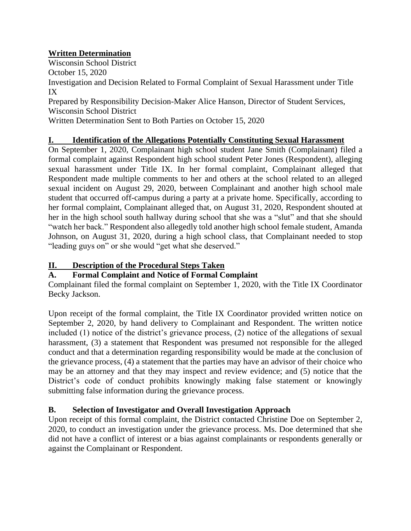# **Written Determination**

Wisconsin School District October 15, 2020

Investigation and Decision Related to Formal Complaint of Sexual Harassment under Title IX

Prepared by Responsibility Decision-Maker Alice Hanson, Director of Student Services, Wisconsin School District

Written Determination Sent to Both Parties on October 15, 2020

## **I. Identification of the Allegations Potentially Constituting Sexual Harassment**

On September 1, 2020, Complainant high school student Jane Smith (Complainant) filed a formal complaint against Respondent high school student Peter Jones (Respondent), alleging sexual harassment under Title IX. In her formal complaint, Complainant alleged that Respondent made multiple comments to her and others at the school related to an alleged sexual incident on August 29, 2020, between Complainant and another high school male student that occurred off-campus during a party at a private home. Specifically, according to her formal complaint, Complainant alleged that, on August 31, 2020, Respondent shouted at her in the high school south hallway during school that she was a "slut" and that she should "watch her back." Respondent also allegedly told another high school female student, Amanda Johnson, on August 31, 2020, during a high school class, that Complainant needed to stop "leading guys on" or she would "get what she deserved."

## **II. Description of the Procedural Steps Taken**

# **A. Formal Complaint and Notice of Formal Complaint**

Complainant filed the formal complaint on September 1, 2020, with the Title IX Coordinator Becky Jackson.

Upon receipt of the formal complaint, the Title IX Coordinator provided written notice on September 2, 2020, by hand delivery to Complainant and Respondent. The written notice included (1) notice of the district's grievance process, (2) notice of the allegations of sexual harassment, (3) a statement that Respondent was presumed not responsible for the alleged conduct and that a determination regarding responsibility would be made at the conclusion of the grievance process, (4) a statement that the parties may have an advisor of their choice who may be an attorney and that they may inspect and review evidence; and (5) notice that the District's code of conduct prohibits knowingly making false statement or knowingly submitting false information during the grievance process.

# **B. Selection of Investigator and Overall Investigation Approach**

Upon receipt of this formal complaint, the District contacted Christine Doe on September 2, 2020, to conduct an investigation under the grievance process. Ms. Doe determined that she did not have a conflict of interest or a bias against complainants or respondents generally or against the Complainant or Respondent.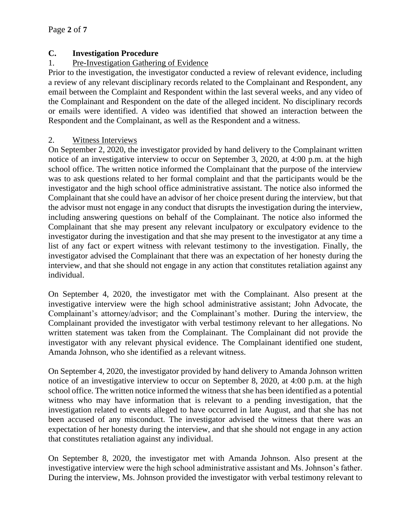### **C. Investigation Procedure**

### 1. Pre-Investigation Gathering of Evidence

Prior to the investigation, the investigator conducted a review of relevant evidence, including a review of any relevant disciplinary records related to the Complainant and Respondent, any email between the Complaint and Respondent within the last several weeks, and any video of the Complainant and Respondent on the date of the alleged incident. No disciplinary records or emails were identified. A video was identified that showed an interaction between the Respondent and the Complainant, as well as the Respondent and a witness.

### 2. Witness Interviews

On September 2, 2020, the investigator provided by hand delivery to the Complainant written notice of an investigative interview to occur on September 3, 2020, at 4:00 p.m. at the high school office. The written notice informed the Complainant that the purpose of the interview was to ask questions related to her formal complaint and that the participants would be the investigator and the high school office administrative assistant. The notice also informed the Complainant that she could have an advisor of her choice present during the interview, but that the advisor must not engage in any conduct that disrupts the investigation during the interview, including answering questions on behalf of the Complainant. The notice also informed the Complainant that she may present any relevant inculpatory or exculpatory evidence to the investigator during the investigation and that she may present to the investigator at any time a list of any fact or expert witness with relevant testimony to the investigation. Finally, the investigator advised the Complainant that there was an expectation of her honesty during the interview, and that she should not engage in any action that constitutes retaliation against any individual.

On September 4, 2020, the investigator met with the Complainant. Also present at the investigative interview were the high school administrative assistant; John Advocate, the Complainant's attorney/advisor; and the Complainant's mother. During the interview, the Complainant provided the investigator with verbal testimony relevant to her allegations. No written statement was taken from the Complainant. The Complainant did not provide the investigator with any relevant physical evidence. The Complainant identified one student, Amanda Johnson, who she identified as a relevant witness.

On September 4, 2020, the investigator provided by hand delivery to Amanda Johnson written notice of an investigative interview to occur on September 8, 2020, at 4:00 p.m. at the high school office. The written notice informed the witness that she has been identified as a potential witness who may have information that is relevant to a pending investigation, that the investigation related to events alleged to have occurred in late August, and that she has not been accused of any misconduct. The investigator advised the witness that there was an expectation of her honesty during the interview, and that she should not engage in any action that constitutes retaliation against any individual.

On September 8, 2020, the investigator met with Amanda Johnson. Also present at the investigative interview were the high school administrative assistant and Ms. Johnson's father. During the interview, Ms. Johnson provided the investigator with verbal testimony relevant to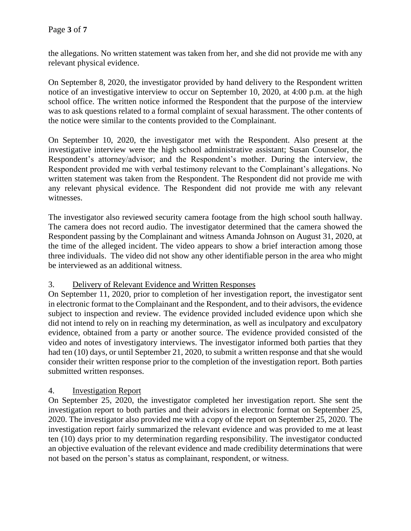the allegations. No written statement was taken from her, and she did not provide me with any relevant physical evidence.

On September 8, 2020, the investigator provided by hand delivery to the Respondent written notice of an investigative interview to occur on September 10, 2020, at 4:00 p.m. at the high school office. The written notice informed the Respondent that the purpose of the interview was to ask questions related to a formal complaint of sexual harassment. The other contents of the notice were similar to the contents provided to the Complainant.

On September 10, 2020, the investigator met with the Respondent. Also present at the investigative interview were the high school administrative assistant; Susan Counselor, the Respondent's attorney/advisor; and the Respondent's mother. During the interview, the Respondent provided me with verbal testimony relevant to the Complainant's allegations. No written statement was taken from the Respondent. The Respondent did not provide me with any relevant physical evidence. The Respondent did not provide me with any relevant witnesses.

The investigator also reviewed security camera footage from the high school south hallway. The camera does not record audio. The investigator determined that the camera showed the Respondent passing by the Complainant and witness Amanda Johnson on August 31, 2020, at the time of the alleged incident. The video appears to show a brief interaction among those three individuals. The video did not show any other identifiable person in the area who might be interviewed as an additional witness.

#### 3. Delivery of Relevant Evidence and Written Responses

On September 11, 2020, prior to completion of her investigation report, the investigator sent in electronic format to the Complainant and the Respondent, and to their advisors, the evidence subject to inspection and review. The evidence provided included evidence upon which she did not intend to rely on in reaching my determination, as well as inculpatory and exculpatory evidence, obtained from a party or another source. The evidence provided consisted of the video and notes of investigatory interviews. The investigator informed both parties that they had ten (10) days, or until September 21, 2020, to submit a written response and that she would consider their written response prior to the completion of the investigation report. Both parties submitted written responses.

### 4. Investigation Report

On September 25, 2020, the investigator completed her investigation report. She sent the investigation report to both parties and their advisors in electronic format on September 25, 2020. The investigator also provided me with a copy of the report on September 25, 2020. The investigation report fairly summarized the relevant evidence and was provided to me at least ten (10) days prior to my determination regarding responsibility. The investigator conducted an objective evaluation of the relevant evidence and made credibility determinations that were not based on the person's status as complainant, respondent, or witness.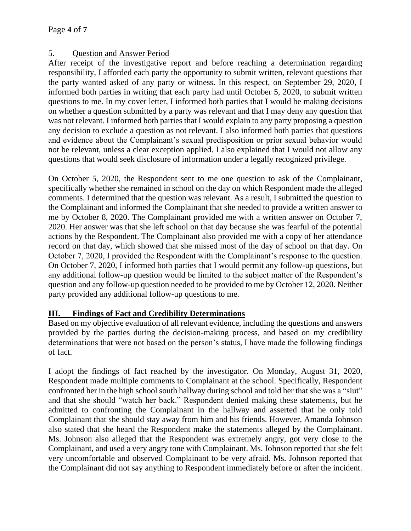## 5. Question and Answer Period

After receipt of the investigative report and before reaching a determination regarding responsibility, I afforded each party the opportunity to submit written, relevant questions that the party wanted asked of any party or witness. In this respect, on September 29, 2020, I informed both parties in writing that each party had until October 5, 2020, to submit written questions to me. In my cover letter, I informed both parties that I would be making decisions on whether a question submitted by a party was relevant and that I may deny any question that was not relevant. I informed both parties that I would explain to any party proposing a question any decision to exclude a question as not relevant. I also informed both parties that questions and evidence about the Complainant's sexual predisposition or prior sexual behavior would not be relevant, unless a clear exception applied. I also explained that I would not allow any questions that would seek disclosure of information under a legally recognized privilege.

On October 5, 2020, the Respondent sent to me one question to ask of the Complainant, specifically whether she remained in school on the day on which Respondent made the alleged comments. I determined that the question was relevant. As a result, I submitted the question to the Complainant and informed the Complainant that she needed to provide a written answer to me by October 8, 2020. The Complainant provided me with a written answer on October 7, 2020. Her answer was that she left school on that day because she was fearful of the potential actions by the Respondent. The Complainant also provided me with a copy of her attendance record on that day, which showed that she missed most of the day of school on that day. On October 7, 2020, I provided the Respondent with the Complainant's response to the question. On October 7, 2020, I informed both parties that I would permit any follow-up questions, but any additional follow-up question would be limited to the subject matter of the Respondent's question and any follow-up question needed to be provided to me by October 12, 2020. Neither party provided any additional follow-up questions to me.

### **III. Findings of Fact and Credibility Determinations**

Based on my objective evaluation of all relevant evidence, including the questions and answers provided by the parties during the decision-making process, and based on my credibility determinations that were not based on the person's status, I have made the following findings of fact.

I adopt the findings of fact reached by the investigator. On Monday, August 31, 2020, Respondent made multiple comments to Complainant at the school. Specifically, Respondent confronted her in the high school south hallway during school and told her that she was a "slut" and that she should "watch her back." Respondent denied making these statements, but he admitted to confronting the Complainant in the hallway and asserted that he only told Complainant that she should stay away from him and his friends. However, Amanda Johnson also stated that she heard the Respondent make the statements alleged by the Complainant. Ms. Johnson also alleged that the Respondent was extremely angry, got very close to the Complainant, and used a very angry tone with Complainant. Ms. Johnson reported that she felt very uncomfortable and observed Complainant to be very afraid. Ms. Johnson reported that the Complainant did not say anything to Respondent immediately before or after the incident.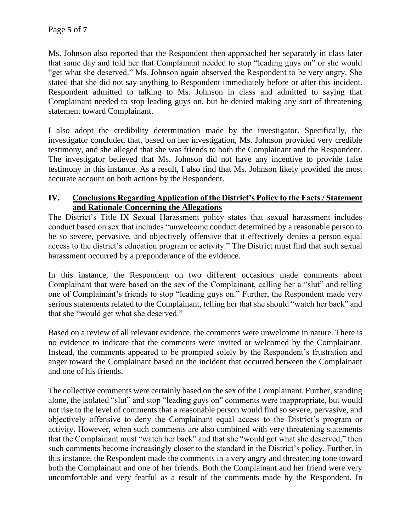Ms. Johnson also reported that the Respondent then approached her separately in class later that same day and told her that Complainant needed to stop "leading guys on" or she would "get what she deserved." Ms. Johnson again observed the Respondent to be very angry. She stated that she did not say anything to Respondent immediately before or after this incident. Respondent admitted to talking to Ms. Johnson in class and admitted to saying that Complainant needed to stop leading guys on, but he denied making any sort of threatening statement toward Complainant.

I also adopt the credibility determination made by the investigator. Specifically, the investigator concluded that, based on her investigation, Ms. Johnson provided very credible testimony, and she alleged that she was friends to both the Complainant and the Respondent. The investigator believed that Ms. Johnson did not have any incentive to provide false testimony in this instance. As a result, I also find that Ms. Johnson likely provided the most accurate account on both actions by the Respondent.

### **IV. Conclusions Regarding Application of the District's Policy to the Facts / Statement and Rationale Concerning the Allegations**

The District's Title IX Sexual Harassment policy states that sexual harassment includes conduct based on sex that includes "unwelcome conduct determined by a reasonable person to be so severe, pervasive, and objectively offensive that it effectively denies a person equal access to the district's education program or activity." The District must find that such sexual harassment occurred by a preponderance of the evidence.

In this instance, the Respondent on two different occasions made comments about Complainant that were based on the sex of the Complainant, calling her a "slut" and telling one of Complainant's friends to stop "leading guys on." Further, the Respondent made very serious statements related to the Complainant, telling her that she should "watch her back" and that she "would get what she deserved."

Based on a review of all relevant evidence, the comments were unwelcome in nature. There is no evidence to indicate that the comments were invited or welcomed by the Complainant. Instead, the comments appeared to be prompted solely by the Respondent's frustration and anger toward the Complainant based on the incident that occurred between the Complainant and one of his friends.

The collective comments were certainly based on the sex of the Complainant. Further, standing alone, the isolated "slut" and stop "leading guys on" comments were inappropriate, but would not rise to the level of comments that a reasonable person would find so severe, pervasive, and objectively offensive to deny the Complainant equal access to the District's program or activity. However, when such comments are also combined with very threatening statements that the Complainant must "watch her back" and that she "would get what she deserved," then such comments become increasingly closer to the standard in the District's policy. Further, in this instance, the Respondent made the comments in a very angry and threatening tone toward both the Complainant and one of her friends. Both the Complainant and her friend were very uncomfortable and very fearful as a result of the comments made by the Respondent. In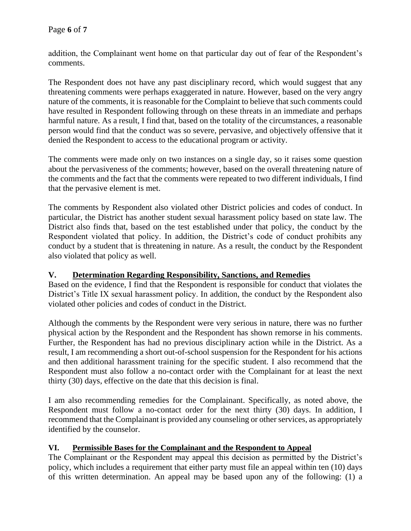addition, the Complainant went home on that particular day out of fear of the Respondent's comments.

The Respondent does not have any past disciplinary record, which would suggest that any threatening comments were perhaps exaggerated in nature. However, based on the very angry nature of the comments, it is reasonable for the Complaint to believe that such comments could have resulted in Respondent following through on these threats in an immediate and perhaps harmful nature. As a result, I find that, based on the totality of the circumstances, a reasonable person would find that the conduct was so severe, pervasive, and objectively offensive that it denied the Respondent to access to the educational program or activity.

The comments were made only on two instances on a single day, so it raises some question about the pervasiveness of the comments; however, based on the overall threatening nature of the comments and the fact that the comments were repeated to two different individuals, I find that the pervasive element is met.

The comments by Respondent also violated other District policies and codes of conduct. In particular, the District has another student sexual harassment policy based on state law. The District also finds that, based on the test established under that policy, the conduct by the Respondent violated that policy. In addition, the District's code of conduct prohibits any conduct by a student that is threatening in nature. As a result, the conduct by the Respondent also violated that policy as well.

### **V. Determination Regarding Responsibility, Sanctions, and Remedies**

Based on the evidence, I find that the Respondent is responsible for conduct that violates the District's Title IX sexual harassment policy. In addition, the conduct by the Respondent also violated other policies and codes of conduct in the District.

Although the comments by the Respondent were very serious in nature, there was no further physical action by the Respondent and the Respondent has shown remorse in his comments. Further, the Respondent has had no previous disciplinary action while in the District. As a result, I am recommending a short out-of-school suspension for the Respondent for his actions and then additional harassment training for the specific student. I also recommend that the Respondent must also follow a no-contact order with the Complainant for at least the next thirty (30) days, effective on the date that this decision is final.

I am also recommending remedies for the Complainant. Specifically, as noted above, the Respondent must follow a no-contact order for the next thirty (30) days. In addition, I recommend that the Complainant is provided any counseling or other services, as appropriately identified by the counselor.

#### **VI. Permissible Bases for the Complainant and the Respondent to Appeal**

The Complainant or the Respondent may appeal this decision as permitted by the District's policy, which includes a requirement that either party must file an appeal within ten (10) days of this written determination. An appeal may be based upon any of the following: (1) a